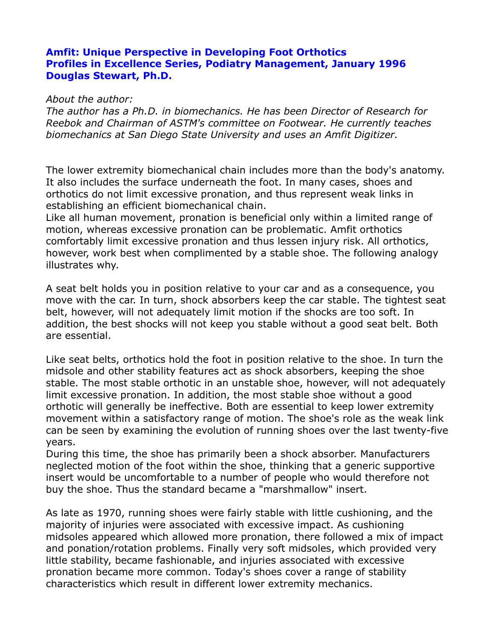## **Amfit: Unique Perspective in Developing Foot Orthotics Profiles in Excellence Series, Podiatry Management, January 1996 Douglas Stewart, Ph.D.**

## *About the author:*

*The author has a Ph.D. in biomechanics. He has been Director of Research for Reebok and Chairman of ASTM's committee on Footwear. He currently teaches biomechanics at San Diego State University and uses an Amfit Digitizer.* 

The lower extremity biomechanical chain includes more than the body's anatomy. It also includes the surface underneath the foot. In many cases, shoes and orthotics do not limit excessive pronation, and thus represent weak links in establishing an efficient biomechanical chain.

Like all human movement, pronation is beneficial only within a limited range of motion, whereas excessive pronation can be problematic. Amfit orthotics comfortably limit excessive pronation and thus lessen injury risk. All orthotics, however, work best when complimented by a stable shoe. The following analogy illustrates why.

A seat belt holds you in position relative to your car and as a consequence, you move with the car. In turn, shock absorbers keep the car stable. The tightest seat belt, however, will not adequately limit motion if the shocks are too soft. In addition, the best shocks will not keep you stable without a good seat belt. Both are essential.

Like seat belts, orthotics hold the foot in position relative to the shoe. In turn the midsole and other stability features act as shock absorbers, keeping the shoe stable. The most stable orthotic in an unstable shoe, however, will not adequately limit excessive pronation. In addition, the most stable shoe without a good orthotic will generally be ineffective. Both are essential to keep lower extremity movement within a satisfactory range of motion. The shoe's role as the weak link can be seen by examining the evolution of running shoes over the last twenty-five years.

During this time, the shoe has primarily been a shock absorber. Manufacturers neglected motion of the foot within the shoe, thinking that a generic supportive insert would be uncomfortable to a number of people who would therefore not buy the shoe. Thus the standard became a "marshmallow" insert.

As late as 1970, running shoes were fairly stable with little cushioning, and the majority of injuries were associated with excessive impact. As cushioning midsoles appeared which allowed more pronation, there followed a mix of impact and ponation/rotation problems. Finally very soft midsoles, which provided very little stability, became fashionable, and injuries associated with excessive pronation became more common. Today's shoes cover a range of stability characteristics which result in different lower extremity mechanics.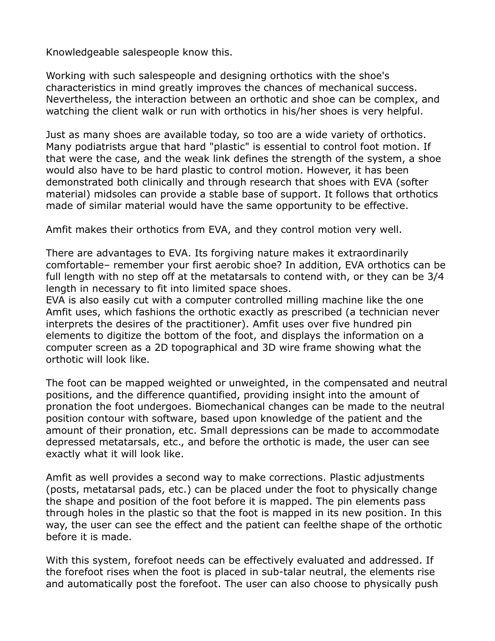Knowledgeable salespeople know this.

Working with such salespeople and designing orthotics with the shoe's characteristics in mind greatly improves the chances of mechanical success. Nevertheless, the interaction between an orthotic and shoe can be complex, and watching the client walk or run with orthotics in his/her shoes is very helpful.

Just as many shoes are available today, so too are a wide variety of orthotics. Many podiatrists argue that hard "plastic" is essential to control foot motion. If that were the case, and the weak link defines the strength of the system, a shoe would also have to be hard plastic to control motion. However, it has been demonstrated both clinically and through research that shoes with EVA (softer material) midsoles can provide a stable base of support. It follows that orthotics made of similar material would have the same opportunity to be effective.

Amfit makes their orthotics from EVA, and they control motion very well.

There are advantages to EVA. Its forgiving nature makes it extraordinarily comfortable– remember your first aerobic shoe? In addition, EVA orthotics can be full length with no step off at the metatarsals to contend with, or they can be 3/4 length in necessary to fit into limited space shoes.

EVA is also easily cut with a computer controlled milling machine like the one Amfit uses, which fashions the orthotic exactly as prescribed (a technician never interprets the desires of the practitioner). Amfit uses over five hundred pin elements to digitize the bottom of the foot, and displays the information on a computer screen as a 2D topographical and 3D wire frame showing what the orthotic will look like.

The foot can be mapped weighted or unweighted, in the compensated and neutral positions, and the difference quantified, providing insight into the amount of pronation the foot undergoes. Biomechanical changes can be made to the neutral position contour with software, based upon knowledge of the patient and the amount of their pronation, etc. Small depressions can be made to accommodate depressed metatarsals, etc., and before the orthotic is made, the user can see exactly what it will look like.

Amfit as well provides a second way to make corrections. Plastic adjustments (posts, metatarsal pads, etc.) can be placed under the foot to physically change the shape and position of the foot before it is mapped. The pin elements pass through holes in the plastic so that the foot is mapped in its new position. In this way, the user can see the effect and the patient can feelthe shape of the orthotic before it is made.

With this system, forefoot needs can be effectively evaluated and addressed. If the forefoot rises when the foot is placed in sub-talar neutral, the elements rise and automatically post the forefoot. The user can also choose to physically push